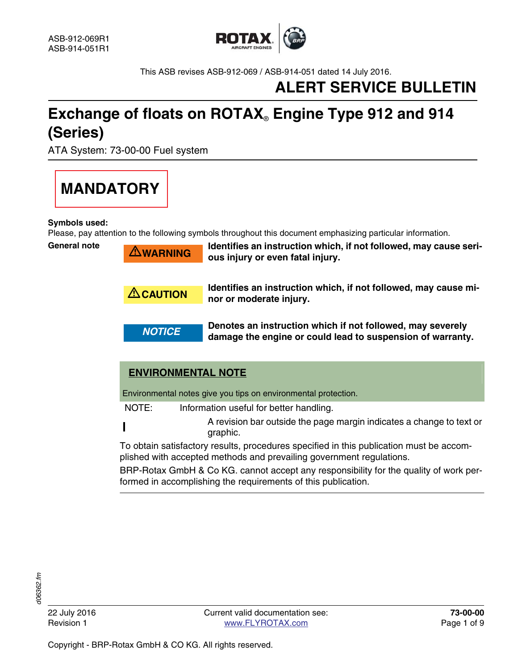

This ASB revises ASB-912-069 / ASB-914-051 dated 14 July 2016.

# **ALERT SERVICE BULLETIN**

# **Exchange of floats on ROTAX**® **Engine Type 912 and 914 (Series)**

ATA System: 73-00-00 Fuel system

**MANDATORY**

**Symbols used:**

Please, pay attention to the following symbols throughout this document emphasizing particular information.

**General note**

Identifies an instruction which, if not followed, may cause seri**ous injury or even fatal injury.**



**ACAUTION** Identifies an instruction which, if not followed, may cause mi-<br>
<u>ACAUTION</u> **nor or moderate injury.**



 $\mathbb{\Delta}$ WARNING

**MOTICE Denotes an instruction which if not followed, may severely damage the engine or could lead to suspension of warranty.** 

# **ENVIRONMENTAL NOTE**

Environmental notes give you tips on environmental protection.

NOTE: Information useful for better handling.

A revision bar outside the page margin indicates a change to text or graphic.

To obtain satisfactory results, procedures specified in this publication must be accomplished with accepted methods and prevailing government regulations.

BRP-Rotax GmbH & Co KG. cannot accept any responsibility for the quality of work performed in accomplishing the requirements of this publication.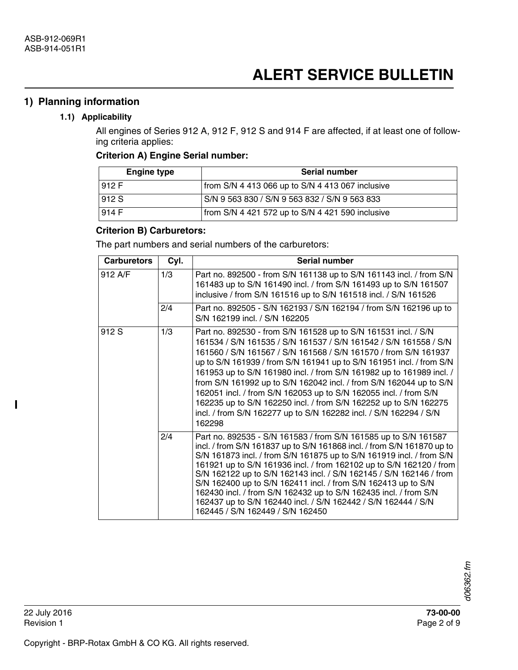# **1) Planning information**

# **1.1) Applicability**

All engines of Series 912 A, 912 F, 912 S and 914 F are affected, if at least one of following criteria applies:

# **Criterion A) Engine Serial number:**

| <b>Engine type</b> | <b>Serial number</b>                             |
|--------------------|--------------------------------------------------|
| 912 F              | from S/N 4 413 066 up to S/N 4 413 067 inclusive |
| 912 S              | S/N 9 563 830 / S/N 9 563 832 / S/N 9 563 833    |
| 914 F              | from S/N 4 421 572 up to S/N 4 421 590 inclusive |

#### **Criterion B) Carburetors:**

The part numbers and serial numbers of the carburetors:

| <b>Carburetors</b> | Cyl. | <b>Serial number</b>                                                                                                                                                                                                                                                                                                                                                                                                                                                                                                                                                                                                                               |
|--------------------|------|----------------------------------------------------------------------------------------------------------------------------------------------------------------------------------------------------------------------------------------------------------------------------------------------------------------------------------------------------------------------------------------------------------------------------------------------------------------------------------------------------------------------------------------------------------------------------------------------------------------------------------------------------|
| 912 A/F            | 1/3  | Part no. 892500 - from S/N 161138 up to S/N 161143 incl. / from S/N<br>161483 up to S/N 161490 incl. / from S/N 161493 up to S/N 161507<br>inclusive / from S/N 161516 up to S/N 161518 incl. / S/N 161526                                                                                                                                                                                                                                                                                                                                                                                                                                         |
|                    | 2/4  | Part no. 892505 - S/N 162193 / S/N 162194 / from S/N 162196 up to<br>S/N 162199 incl. / S/N 162205                                                                                                                                                                                                                                                                                                                                                                                                                                                                                                                                                 |
| 912 S              | 1/3  | Part no. 892530 - from S/N 161528 up to S/N 161531 incl. / S/N<br>161534 / S/N 161535 / S/N 161537 / S/N 161542 / S/N 161558 / S/N<br>161560 / S/N 161567 / S/N 161568 / S/N 161570 / from S/N 161937<br>up to S/N 161939 / from S/N 161941 up to S/N 161951 incl. / from S/N<br>161953 up to S/N 161980 incl. / from S/N 161982 up to 161989 incl. /<br>from S/N 161992 up to S/N 162042 incl. / from S/N 162044 up to S/N<br>162051 incl. / from S/N 162053 up to S/N 162055 incl. / from S/N<br>162235 up to S/N 162250 incl. / from S/N 162252 up to S/N 162275<br>incl. / from S/N 162277 up to S/N 162282 incl. / S/N 162294 / S/N<br>162298 |
|                    | 2/4  | Part no. 892535 - S/N 161583 / from S/N 161585 up to S/N 161587<br>incl. / from S/N 161837 up to S/N 161868 incl. / from S/N 161870 up to<br>S/N 161873 incl. / from S/N 161875 up to S/N 161919 incl. / from S/N<br>161921 up to S/N 161936 incl. / from 162102 up to S/N 162120 / from<br>S/N 162122 up to S/N 162143 incl. / S/N 162145 / S/N 162146 / from<br>S/N 162400 up to S/N 162411 incl. / from S/N 162413 up to S/N<br>162430 incl. / from S/N 162432 up to S/N 162435 incl. / from S/N<br>162437 up to S/N 162440 incl. / S/N 162442 / S/N 162444 / S/N<br>162445 / S/N 162449 / S/N 162450                                           |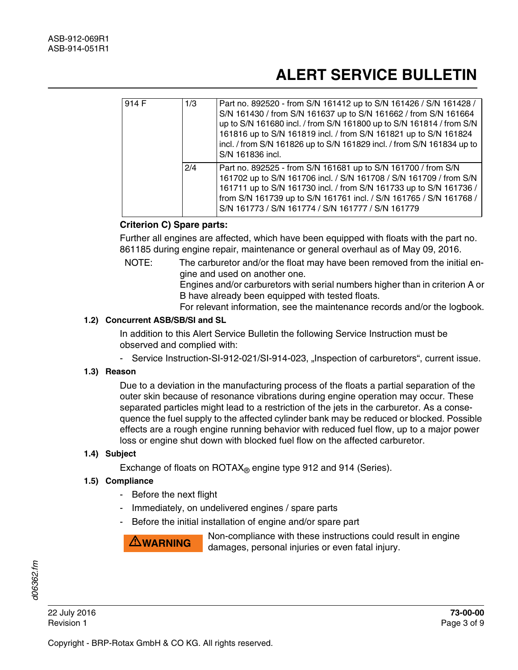| 914 F | 1/3 | Part no. 892520 - from S/N 161412 up to S/N 161426 / S/N 161428 /<br>S/N 161430 / from S/N 161637 up to S/N 161662 / from S/N 161664<br>up to S/N 161680 incl. / from S/N 161800 up to S/N 161814 / from S/N<br>161816 up to S/N 161819 incl. / from S/N 161821 up to S/N 161824<br>incl. / from S/N 161826 up to S/N 161829 incl. / from S/N 161834 up to<br>S/N 161836 incl. |
|-------|-----|--------------------------------------------------------------------------------------------------------------------------------------------------------------------------------------------------------------------------------------------------------------------------------------------------------------------------------------------------------------------------------|
|       | 2/4 | Part no. 892525 - from S/N 161681 up to S/N 161700 / from S/N<br>161702 up to S/N 161706 incl. / S/N 161708 / S/N 161709 / from S/N<br>161711 up to S/N 161730 incl. / from S/N 161733 up to S/N 161736 /<br>from S/N 161739 up to S/N 161761 incl. / S/N 161765 / S/N 161768 /<br>S/N 161773 / S/N 161774 / S/N 161777 / S/N 161779                                           |

# **Criterion C) Spare parts:**

Further all engines are affected, which have been equipped with floats with the part no. 861185 during engine repair, maintenance or general overhaul as of May 09, 2016.

NOTE: The carburetor and/or the float may have been removed from the initial engine and used on another one.

> Engines and/or carburetors with serial numbers higher than in criterion A or B have already been equipped with tested floats.

> For relevant information, see the maintenance records and/or the logbook.

### **1.2) Concurrent ASB/SB/SI and SL**

In addition to this Alert Service Bulletin the following Service Instruction must be observed and complied with:

- Service Instruction-SI-912-021/SI-914-023, "Inspection of carburetors", current issue.

### **1.3) Reason**

Due to a deviation in the manufacturing process of the floats a partial separation of the outer skin because of resonance vibrations during engine operation may occur. These separated particles might lead to a restriction of the jets in the carburetor. As a consequence the fuel supply to the affected cylinder bank may be reduced or blocked. Possible effects are a rough engine running behavior with reduced fuel flow, up to a major power loss or engine shut down with blocked fuel flow on the affected carburetor.

#### **1.4) Subject**

Exchange of floats on  $ROTAX_{\odot}$  engine type 912 and 914 (Series).

#### **1.5) Compliance**

- Before the next flight
- Immediately, on undelivered engines / spare parts
- Before the initial installation of engine and/or spare part

 $\bigtriangleup$ WARNING

Non-compliance with these instructions could result in engine damages, personal injuries or even fatal injury.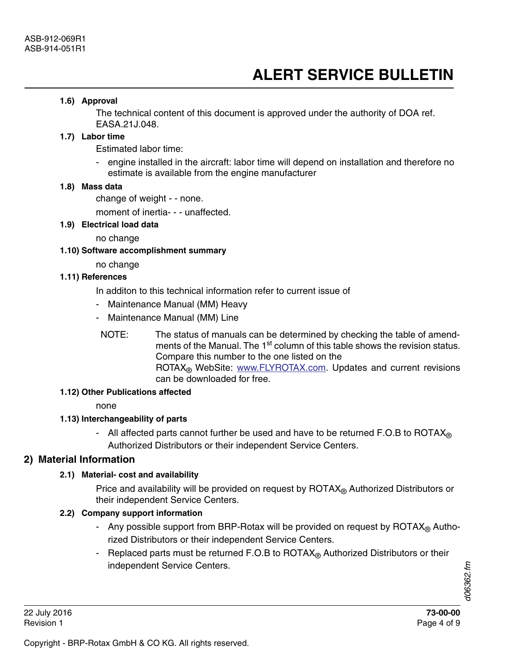#### **1.6) Approval**

The technical content of this document is approved under the authority of DOA ref. EASA.21J.048.

### **1.7) Labor time**

Estimated labor time:

- engine installed in the aircraft: labor time will depend on installation and therefore no estimate is available from the engine manufacturer

#### **1.8) Mass data**

change of weight - - none.

moment of inertia- - - unaffected.

# **1.9) Electrical load data**

no change

# **1.10) Software accomplishment summary**

no change

# **1.11) References**

In additon to this technical information refer to current issue of

- Maintenance Manual (MM) Heavy
- Maintenance Manual (MM) Line
- NOTE: The status of manuals can be determined by checking the table of amendments of the Manual. The 1<sup>st</sup> column of this table shows the revision status. Compare this number to the one listed on the  $ROTAX<sub>®</sub>$  WebSite: www.FLYROTAX.com. Updates and current revisions can be downloaded for free.

#### **1.12) Other Publications affected**

none

#### **1.13) Interchangeability of parts**

- All affected parts cannot further be used and have to be returned F.O.B to ROTAX<sup>®</sup> Authorized Distributors or their independent Service Centers.

# **2) Material Information**

# **2.1) Material- cost and availability**

Price and availability will be provided on request by  $ROTAX<sub>®</sub>$  Authorized Distributors or their independent Service Centers.

#### **2.2) Company support information**

- Any possible support from BRP-Rotax will be provided on request by  $ROTAX_{\text{@}}$  Authorized Distributors or their independent Service Centers.
- Replaced parts must be returned F.O.B to  $ROTAX_{\odot}$  Authorized Distributors or their independent Service Centers.

d06362.fm *d06362.fm*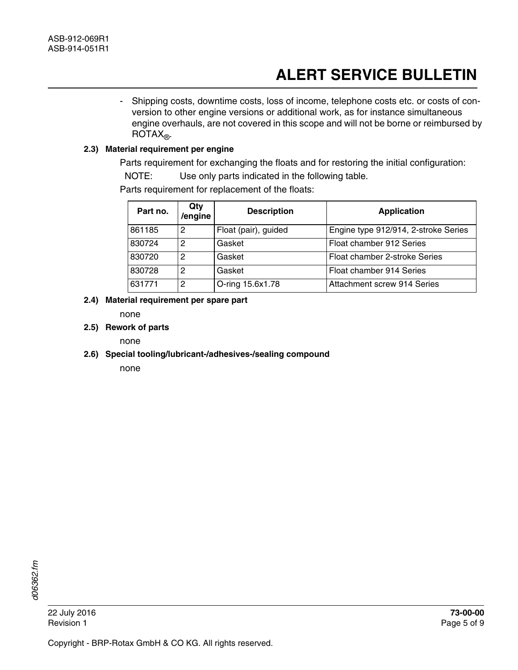- Shipping costs, downtime costs, loss of income, telephone costs etc. or costs of conversion to other engine versions or additional work, as for instance simultaneous engine overhauls, are not covered in this scope and will not be borne or reimbursed by  $ROTAX<sub>®</sub>$ .

## **2.3) Material requirement per engine**

Parts requirement for exchanging the floats and for restoring the initial configuration:

NOTE: Use only parts indicated in the following table.

Parts requirement for replacement of the floats:

| Part no. | Qty<br>/engine | <b>Description</b>   | <b>Application</b>                   |
|----------|----------------|----------------------|--------------------------------------|
| 861185   | 2              | Float (pair), guided | Engine type 912/914, 2-stroke Series |
| 830724   | 2              | Gasket               | Float chamber 912 Series             |
| 830720   | 2              | Gasket               | Float chamber 2-stroke Series        |
| 830728   | 2              | Gasket               | Float chamber 914 Series             |
| 631771   | 2              | O-ring 15.6x1.78     | <b>Attachment screw 914 Series</b>   |

#### **2.4) Material requirement per spare part**

none

### **2.5) Rework of parts**

none

**2.6) Special tooling/lubricant-/adhesives-/sealing compound**

none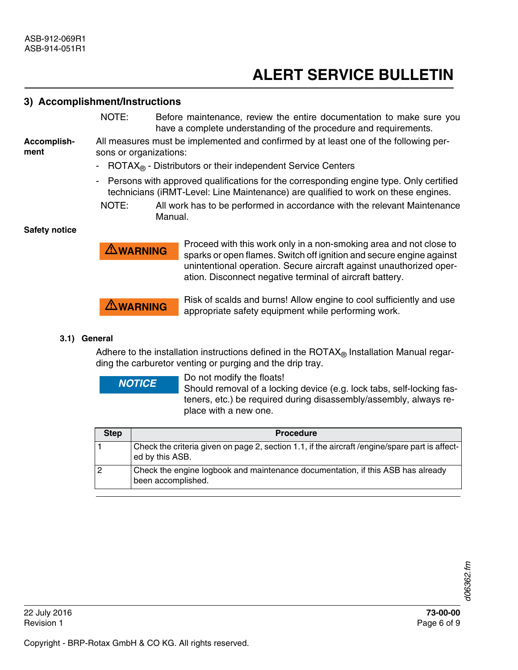### **3) Accomplishment/Instructions**

NOTE: Before maintenance, review the entire documentation to make sure you have a complete understanding of the procedure and requirements.

**Accomplish-**All measures must be implemented and confirmed by at least one of the following persons or organizations:

- $ROTAX_{\odot}$  Distributors or their independent Service Centers
- Persons with approved qualifications for the corresponding engine type. Only certified technicians (iRMT-Level: Line Maintenance) are qualified to work on these engines.
- NOTE: All work has to be performed in accordance with the relevant Maintenance Manual.

#### **Safety notice**

**ment**



#### **3.1) General**

Adhere to the installation instructions defined in the  $ROTAX<sub>®</sub>$  Installation Manual regarding the carburetor venting or purging and the drip tray.

**NOTICE** Do not modify the floats!<br>Should removal of a locking device (e.g. lock tabs, self-locking fasteners, etc.) be required during disassembly/assembly, always replace with a new one.

| <b>Step</b> | <b>Procedure</b>                                                                                                   |
|-------------|--------------------------------------------------------------------------------------------------------------------|
|             | Check the criteria given on page 2, section 1.1, if the aircraft / engine/spare part is affect-<br>ed by this ASB. |
|             | Check the engine logbook and maintenance documentation, if this ASB has already<br>been accomplished.              |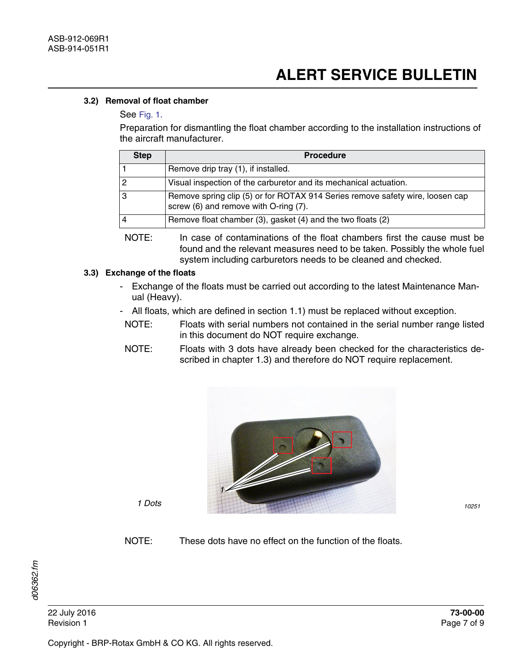#### **3.2) Removal of float chamber**

#### See Fig. [1.](#page-7-0)

Preparation for dismantling the float chamber according to the installation instructions of the aircraft manufacturer.

| <b>Step</b> | <b>Procedure</b>                                                                                                       |
|-------------|------------------------------------------------------------------------------------------------------------------------|
|             | Remove drip tray (1), if installed.                                                                                    |
| 2           | Visual inspection of the carburetor and its mechanical actuation.                                                      |
| 3           | Remove spring clip (5) or for ROTAX 914 Series remove safety wire, loosen cap<br>screw (6) and remove with O-ring (7). |
|             | Remove float chamber (3), gasket (4) and the two floats (2)                                                            |

NOTE: In case of contaminations of the float chambers first the cause must be found and the relevant measures need to be taken. Possibly the whole fuel system including carburetors needs to be cleaned and checked.

### **3.3) Exchange of the floats**

- Exchange of the floats must be carried out according to the latest Maintenance Manual (Heavy).
- All floats, which are defined in section 1.1) must be replaced without exception.
- NOTE: Floats with serial numbers not contained in the serial number range listed in this document do NOT require exchange.
- NOTE: Floats with 3 dots have already been checked for the characteristics described in chapter 1.3) and therefore do NOT require replacement.



NOTE: These dots have no effect on the function of the floats.

22 July 2016 **73-00-00** Revision 1 Page 7 of 9

Copyright - BRP-Rotax GmbH & CO KG. All rights reserved.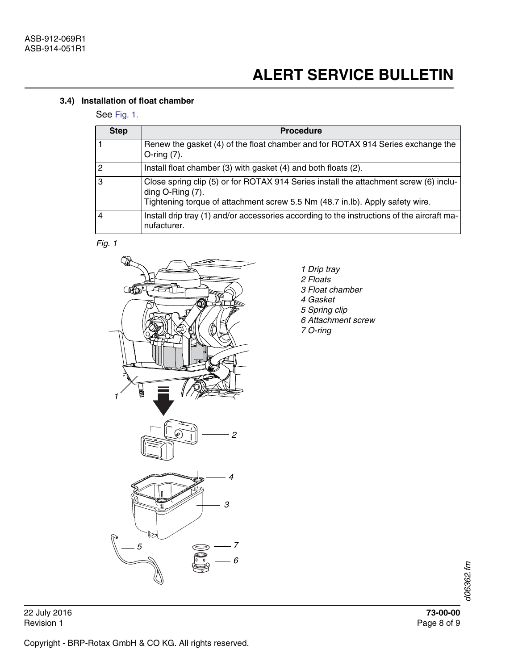### **3.4) Installation of float chamber**

<span id="page-7-0"></span>See Fig. 1.

| <b>Step</b>    | <b>Procedure</b>                                                                                                                                                                                 |
|----------------|--------------------------------------------------------------------------------------------------------------------------------------------------------------------------------------------------|
|                | Renew the gasket (4) of the float chamber and for ROTAX 914 Series exchange the<br>O-ring $(7)$ .                                                                                                |
| $\overline{2}$ | Install float chamber (3) with gasket (4) and both floats (2).                                                                                                                                   |
| 3              | Close spring clip (5) or for ROTAX 914 Series install the attachment screw (6) inclu-<br>ding $O$ -Ring $(7)$ .<br>Tightening torque of attachment screw 5.5 Nm (48.7 in.lb). Apply safety wire. |
| 4              | Install drip tray (1) and/or accessories according to the instructions of the aircraft ma-<br>nufacturer.                                                                                        |

*Fig. 1*



*1 Drip tray 2 Floats 3 Float chamber 4 Gasket 5 Spring clip 6 Attachment screw 7 O-ring*

d06362.fm *d06362.fm*